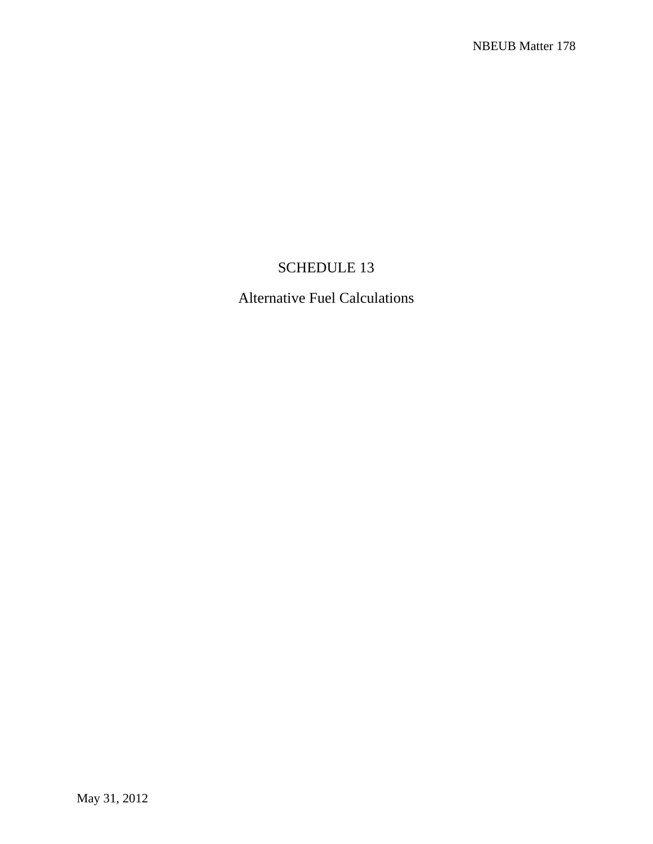# SCHEDULE 13

Alternative Fuel Calculations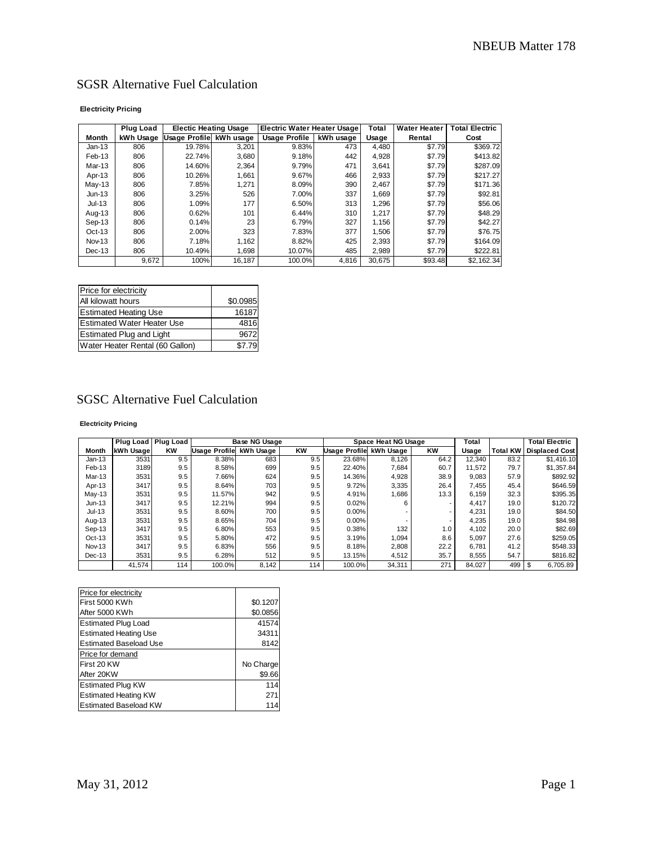## SGSR Alternative Fuel Calculation

#### **Electricity Pricing**

|                   | Plug Load | <b>Electic Heating Usage</b> |        | <b>Electric Water Heater Usage</b> |       | Total  | <b>Water Heater</b> | <b>Total Electric</b> |  |
|-------------------|-----------|------------------------------|--------|------------------------------------|-------|--------|---------------------|-----------------------|--|
| <b>Month</b>      | kWh Usage | Usage Profile kWh usage      |        | <b>Usage Profile</b><br>kWh usage  |       | Usage  | Rental              | Cost                  |  |
| Jan-13            | 806       | 19.78%                       | 3.201  | 9.83%                              | 473   | 4.480  | \$7.79              | \$369.72              |  |
| Feb-13            | 806       | 22.74%                       | 3,680  | 9.18%                              | 442   | 4.928  | \$7.79              | \$413.82              |  |
| Mar-13            | 806       | 14.60%                       | 2.364  | 9.79%                              | 471   | 3.641  | \$7.79              | \$287.09              |  |
| Apr-13            | 806       | 10.26%                       | 1.661  | 9.67%                              | 466   | 2.933  | \$7.79              | \$217.27              |  |
| $May-13$          | 806       | 7.85%                        | 1.271  | 8.09%                              | 390   | 2.467  | \$7.79              | \$171.36              |  |
| $Jun-13$          | 806       | 3.25%                        | 526    | 7.00%                              | 337   | 1.669  | \$7.79              | \$92.81               |  |
| $Jul-13$          | 806       | 1.09%                        | 177    | 6.50%                              | 313   | 1.296  | \$7.79              | \$56.06               |  |
| Aug-13            | 806       | 0.62%                        | 101    | 6.44%                              | 310   | 1.217  | \$7.79              | \$48.29               |  |
| Sep-13            | 806       | 0.14%                        | 23     | 6.79%                              | 327   | 1.156  | \$7.79              | \$42.27               |  |
| $Oct-13$          | 806       | 2.00%                        | 323    | 7.83%                              | 377   | 1.506  | \$7.79              | \$76.75               |  |
| Nov <sub>13</sub> | 806       | 7.18%                        | 1.162  | 8.82%                              | 425   | 2.393  | \$7.79              | \$164.09              |  |
| Dec-13            | 806       | 10.49%                       | 1.698  | 10.07%                             | 485   | 2.989  | \$7.79              | \$222.81              |  |
|                   | 9,672     | 100%                         | 16,187 | 100.0%                             | 4,816 | 30.675 | \$93.48             | \$2.162.34            |  |

| Price for electricity             |          |
|-----------------------------------|----------|
| All kilowatt hours                | \$0.0985 |
| <b>Estimated Heating Use</b>      | 16187    |
| <b>Estimated Water Heater Use</b> | 4816     |
| <b>Estimated Plug and Light</b>   | 9672     |
| Water Heater Rental (60 Gallon)   | \$7.79   |

### SGSC Alternative Fuel Calculation

#### **Electricity Pricing**

|          | Plug Load   Plug Load |           |                      | <b>Base NG Usage</b> |           |                      | Space Heat NG Usage |           | Total  |                 | <b>Total Electric</b> |
|----------|-----------------------|-----------|----------------------|----------------------|-----------|----------------------|---------------------|-----------|--------|-----------------|-----------------------|
| Month    | kWh Usage             | <b>KW</b> | <b>Usage Profile</b> | kWh Usage            | <b>KW</b> | <b>Usage Profile</b> | kWh Usage           | <b>KW</b> | Usage  | <b>Total KW</b> | <b>Displaced Cost</b> |
| $Jan-13$ | 3531                  | 9.5       | 8.38%                | 683                  | 9.5       | 23.68%               | 8,126               | 64.2      | 12.340 | 83.2            | \$1,416.10            |
| Feb-13   | 3189                  | 9.5       | 8.58%                | 699                  | 9.5       | 22.40%               | 7,684               | 60.7      | 11.572 | 79.7            | \$1,357.84            |
| Mar-13   | 3531                  | 9.5       | 7.66%                | 624                  | 9.5       | 14.36%               | 4,928               | 38.9      | 9,083  | 57.9            | \$892.92              |
| Apr-13   | 3417                  | 9.5       | 8.64%                | 703                  | 9.5       | 9.72%                | 3,335               | 26.4      | 7.455  | 45.4            | \$646.59              |
| $May-13$ | 3531                  | 9.5       | 11.57%               | 942                  | 9.5       | 4.91%                | 1,686               | 13.3      | 6.159  | 32.3            | \$395.35              |
| $Jun-13$ | 3417                  | 9.5       | 12.21%               | 994                  | 9.5       | 0.02%                | 6                   |           | 4,417  | 19.0            | \$120.72              |
| Jul-13   | 3531                  | 9.5       | 8.60%                | 700                  | 9.5       | 0.00%                |                     |           | 4,231  | 19.0            | \$84.50               |
| Aug-13   | 3531                  | 9.5       | 8.65%                | 704                  | 9.5       | 0.00%                |                     |           | 4,235  | 19.0            | \$84.98               |
| Sep-13   | 3417                  | 9.5       | 6.80%                | 553                  | 9.5       | 0.38%                | 132                 | 1.0       | 4,102  | 20.0            | \$82.69               |
| $Oct-13$ | 3531                  | 9.5       | 5.80%                | 472                  | 9.5       | 3.19%                | 1,094               | 8.6       | 5.097  | 27.6            | \$259.05              |
| Nov-13   | 3417                  | 9.5       | 6.83%                | 556                  | 9.5       | 8.18%                | 2,808               | 22.2      | 6.781  | 41.2            | \$548.33              |
| $Dec-13$ | 3531                  | 9.5       | 6.28%                | 512                  | 9.5       | 13.15%               | 4,512               | 35.7      | 8,555  | 54.7            | \$816.82              |
|          | 41,574                | 114       | 100.0%               | 8,142                | 114       | 100.0%               | 34.311              | 271       | 84,027 | 499             | 6,705.89<br>\$        |

| Price for electricity         |           |  |  |  |
|-------------------------------|-----------|--|--|--|
| First 5000 KWh                | \$0.1207  |  |  |  |
| After 5000 KWh                | \$0.0856  |  |  |  |
| <b>Estimated Plug Load</b>    | 41574     |  |  |  |
| <b>Estimated Heating Use</b>  | 34311     |  |  |  |
| <b>Estimated Baseload Use</b> | 8142      |  |  |  |
| Price for demand              |           |  |  |  |
| First 20 KW                   | No Charge |  |  |  |
| After 20KW                    | \$9.66    |  |  |  |
| <b>Estimated Plug KW</b>      | 114       |  |  |  |
| <b>Estimated Heating KW</b>   | 271       |  |  |  |
| <b>Estimated Baseload KW</b>  | 114       |  |  |  |